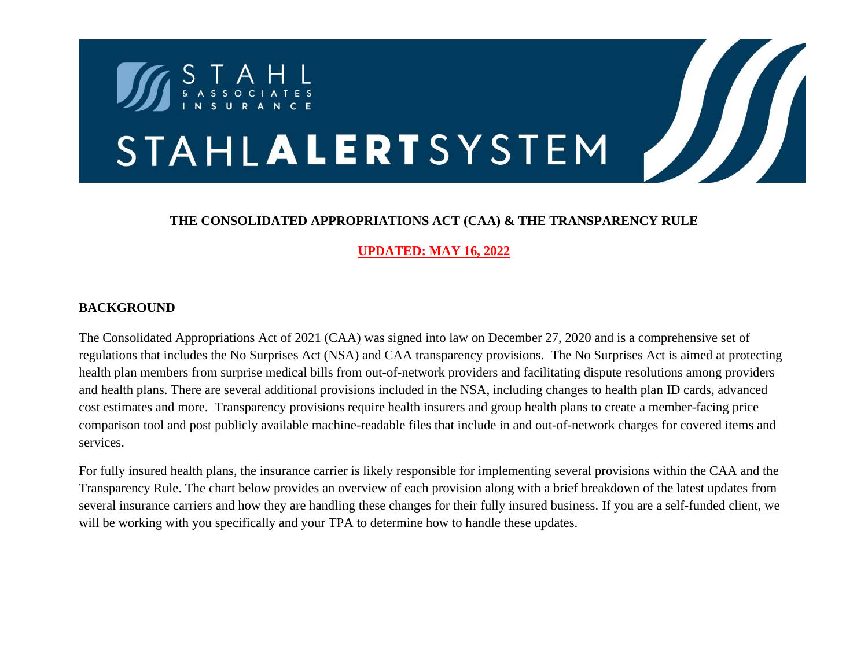

## **THE CONSOLIDATED APPROPRIATIONS ACT (CAA) & THE TRANSPARENCY RULE**

**UPDATED: MAY 16, 2022**

## **BACKGROUND**

The Consolidated Appropriations Act of 2021 (CAA) was signed into law on December 27, 2020 and is a comprehensive set of regulations that includes the No Surprises Act (NSA) and CAA transparency provisions. The No Surprises Act is aimed at protecting health plan members from surprise medical bills from out-of-network providers and facilitating dispute resolutions among providers and health plans. There are several additional provisions included in the NSA, including changes to health plan ID cards, advanced cost estimates and more. Transparency provisions require health insurers and group health plans to create a member-facing price comparison tool and post publicly available machine-readable files that include in and out-of-network charges for covered items and services.

For fully insured health plans, the insurance carrier is likely responsible for implementing several provisions within the CAA and the Transparency Rule. The chart below provides an overview of each provision along with a brief breakdown of the latest updates from several insurance carriers and how they are handling these changes for their fully insured business. If you are a self-funded client, we will be working with you specifically and your TPA to determine how to handle these updates.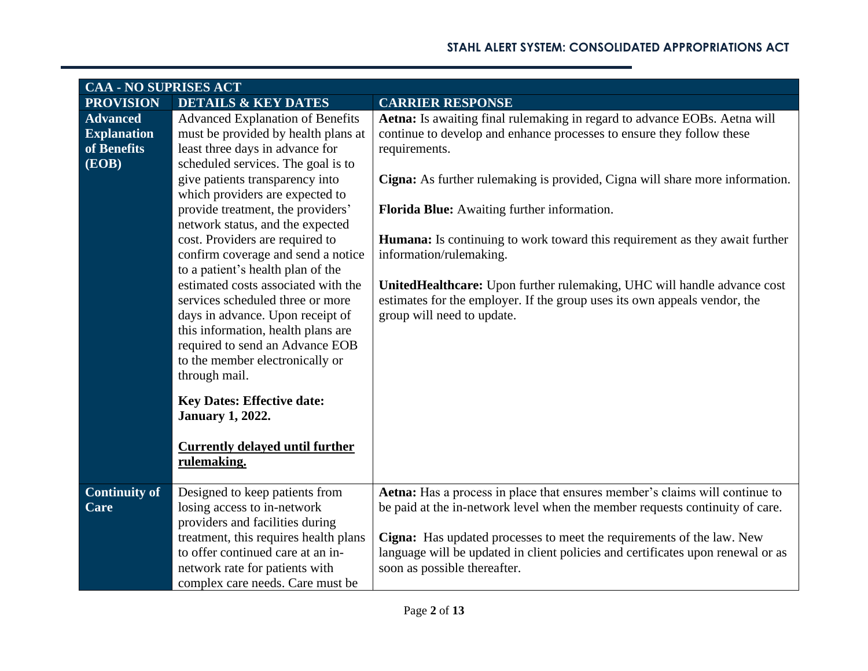| <b>CAA - NO SUPRISES ACT</b>                                  |                                                                                                                                                                                                                                                                                                                                                                                                                                                                                                                                                                                                                                                                  |                                                                                                                                                                                                                                                                                                                                                                                                                                                                                                                                                                                                           |
|---------------------------------------------------------------|------------------------------------------------------------------------------------------------------------------------------------------------------------------------------------------------------------------------------------------------------------------------------------------------------------------------------------------------------------------------------------------------------------------------------------------------------------------------------------------------------------------------------------------------------------------------------------------------------------------------------------------------------------------|-----------------------------------------------------------------------------------------------------------------------------------------------------------------------------------------------------------------------------------------------------------------------------------------------------------------------------------------------------------------------------------------------------------------------------------------------------------------------------------------------------------------------------------------------------------------------------------------------------------|
| <b>PROVISION</b>                                              | <b>DETAILS &amp; KEY DATES</b>                                                                                                                                                                                                                                                                                                                                                                                                                                                                                                                                                                                                                                   | <b>CARRIER RESPONSE</b>                                                                                                                                                                                                                                                                                                                                                                                                                                                                                                                                                                                   |
| <b>Advanced</b><br><b>Explanation</b><br>of Benefits<br>(EOB) | <b>Advanced Explanation of Benefits</b><br>must be provided by health plans at<br>least three days in advance for<br>scheduled services. The goal is to<br>give patients transparency into<br>which providers are expected to<br>provide treatment, the providers'<br>network status, and the expected<br>cost. Providers are required to<br>confirm coverage and send a notice<br>to a patient's health plan of the<br>estimated costs associated with the<br>services scheduled three or more<br>days in advance. Upon receipt of<br>this information, health plans are<br>required to send an Advance EOB<br>to the member electronically or<br>through mail. | Aetna: Is awaiting final rulemaking in regard to advance EOBs. Aetna will<br>continue to develop and enhance processes to ensure they follow these<br>requirements.<br>Cigna: As further rulemaking is provided, Cigna will share more information.<br>Florida Blue: Awaiting further information.<br><b>Humana:</b> Is continuing to work toward this requirement as they await further<br>information/rulemaking.<br>UnitedHealthcare: Upon further rulemaking, UHC will handle advance cost<br>estimates for the employer. If the group uses its own appeals vendor, the<br>group will need to update. |
|                                                               | <b>Key Dates: Effective date:</b><br><b>January 1, 2022.</b><br><b>Currently delayed until further</b><br>rulemaking.                                                                                                                                                                                                                                                                                                                                                                                                                                                                                                                                            |                                                                                                                                                                                                                                                                                                                                                                                                                                                                                                                                                                                                           |
| <b>Continuity of</b><br>Care                                  | Designed to keep patients from<br>losing access to in-network<br>providers and facilities during<br>treatment, this requires health plans<br>to offer continued care at an in-<br>network rate for patients with<br>complex care needs. Care must be                                                                                                                                                                                                                                                                                                                                                                                                             | Aetna: Has a process in place that ensures member's claims will continue to<br>be paid at the in-network level when the member requests continuity of care.<br>Cigna: Has updated processes to meet the requirements of the law. New<br>language will be updated in client policies and certificates upon renewal or as<br>soon as possible thereafter.                                                                                                                                                                                                                                                   |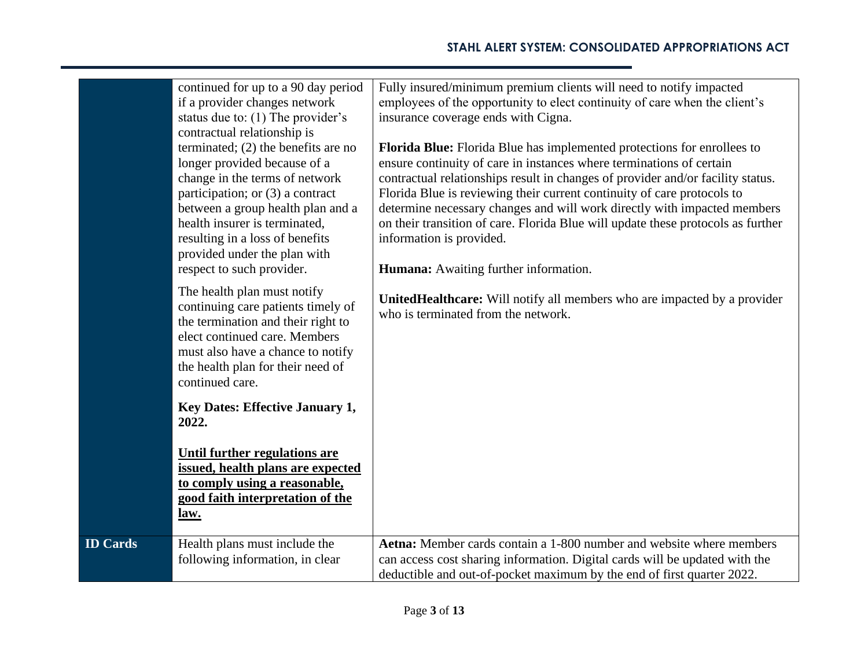|                 | continued for up to a 90 day period<br>if a provider changes network<br>status due to: (1) The provider's<br>contractual relationship is<br>terminated; $(2)$ the benefits are no<br>longer provided because of a<br>change in the terms of network<br>participation; or (3) a contract<br>between a group health plan and a<br>health insurer is terminated,<br>resulting in a loss of benefits<br>provided under the plan with<br>respect to such provider. | Fully insured/minimum premium clients will need to notify impacted<br>employees of the opportunity to elect continuity of care when the client's<br>insurance coverage ends with Cigna.<br>Florida Blue: Florida Blue has implemented protections for enrollees to<br>ensure continuity of care in instances where terminations of certain<br>contractual relationships result in changes of provider and/or facility status.<br>Florida Blue is reviewing their current continuity of care protocols to<br>determine necessary changes and will work directly with impacted members<br>on their transition of care. Florida Blue will update these protocols as further<br>information is provided.<br>Humana: Awaiting further information. |
|-----------------|---------------------------------------------------------------------------------------------------------------------------------------------------------------------------------------------------------------------------------------------------------------------------------------------------------------------------------------------------------------------------------------------------------------------------------------------------------------|-----------------------------------------------------------------------------------------------------------------------------------------------------------------------------------------------------------------------------------------------------------------------------------------------------------------------------------------------------------------------------------------------------------------------------------------------------------------------------------------------------------------------------------------------------------------------------------------------------------------------------------------------------------------------------------------------------------------------------------------------|
|                 | The health plan must notify<br>continuing care patients timely of<br>the termination and their right to<br>elect continued care. Members<br>must also have a chance to notify<br>the health plan for their need of<br>continued care.                                                                                                                                                                                                                         | UnitedHealthcare: Will notify all members who are impacted by a provider<br>who is terminated from the network.                                                                                                                                                                                                                                                                                                                                                                                                                                                                                                                                                                                                                               |
|                 | <b>Key Dates: Effective January 1,</b><br>2022.                                                                                                                                                                                                                                                                                                                                                                                                               |                                                                                                                                                                                                                                                                                                                                                                                                                                                                                                                                                                                                                                                                                                                                               |
|                 | <b>Until further regulations are</b><br>issued, health plans are expected<br>to comply using a reasonable,<br>good faith interpretation of the<br><u>law.</u>                                                                                                                                                                                                                                                                                                 |                                                                                                                                                                                                                                                                                                                                                                                                                                                                                                                                                                                                                                                                                                                                               |
| <b>ID Cards</b> | Health plans must include the<br>following information, in clear                                                                                                                                                                                                                                                                                                                                                                                              | Aetna: Member cards contain a 1-800 number and website where members<br>can access cost sharing information. Digital cards will be updated with the<br>deductible and out-of-pocket maximum by the end of first quarter 2022.                                                                                                                                                                                                                                                                                                                                                                                                                                                                                                                 |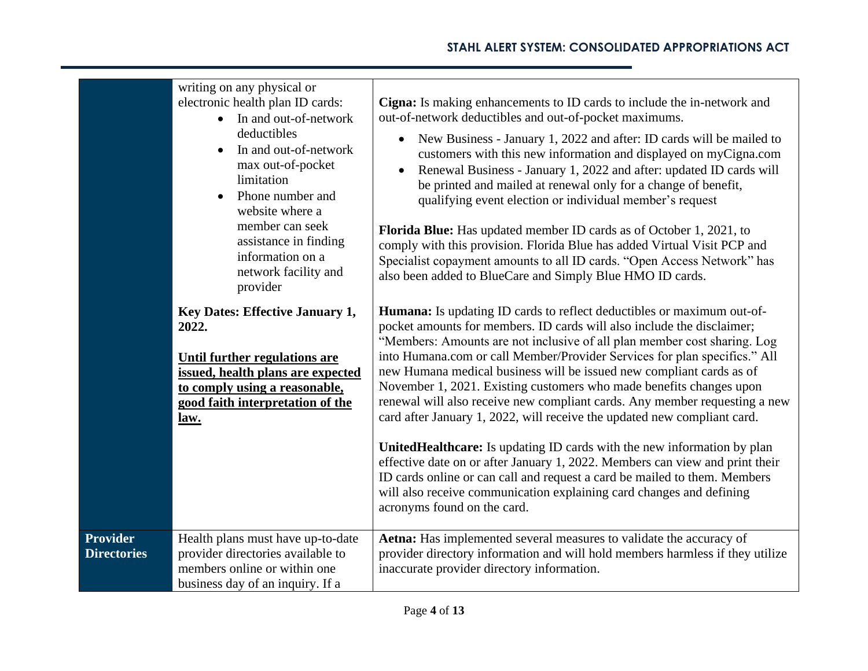|                                       | writing on any physical or<br>electronic health plan ID cards:<br>In and out-of-network<br>$\bullet$<br>deductibles<br>In and out-of-network<br>$\bullet$<br>max out-of-pocket<br>limitation<br>Phone number and<br>$\bullet$<br>website where a<br>member can seek<br>assistance in finding<br>information on a<br>network facility and<br>provider | Cigna: Is making enhancements to ID cards to include the in-network and<br>out-of-network deductibles and out-of-pocket maximums.<br>New Business - January 1, 2022 and after: ID cards will be mailed to<br>$\bullet$<br>customers with this new information and displayed on myCigna.com<br>Renewal Business - January 1, 2022 and after: updated ID cards will<br>$\bullet$<br>be printed and mailed at renewal only for a change of benefit,<br>qualifying event election or individual member's request<br><b>Florida Blue:</b> Has updated member ID cards as of October 1, 2021, to<br>comply with this provision. Florida Blue has added Virtual Visit PCP and<br>Specialist copayment amounts to all ID cards. "Open Access Network" has<br>also been added to BlueCare and Simply Blue HMO ID cards.                                                                                                                                                           |
|---------------------------------------|------------------------------------------------------------------------------------------------------------------------------------------------------------------------------------------------------------------------------------------------------------------------------------------------------------------------------------------------------|--------------------------------------------------------------------------------------------------------------------------------------------------------------------------------------------------------------------------------------------------------------------------------------------------------------------------------------------------------------------------------------------------------------------------------------------------------------------------------------------------------------------------------------------------------------------------------------------------------------------------------------------------------------------------------------------------------------------------------------------------------------------------------------------------------------------------------------------------------------------------------------------------------------------------------------------------------------------------|
|                                       | Key Dates: Effective January 1,<br>2022.<br><b>Until further regulations are</b><br>issued, health plans are expected<br>to comply using a reasonable,<br>good faith interpretation of the<br>law.                                                                                                                                                   | <b>Humana:</b> Is updating ID cards to reflect deductibles or maximum out-of-<br>pocket amounts for members. ID cards will also include the disclaimer;<br>"Members: Amounts are not inclusive of all plan member cost sharing. Log<br>into Humana.com or call Member/Provider Services for plan specifics." All<br>new Humana medical business will be issued new compliant cards as of<br>November 1, 2021. Existing customers who made benefits changes upon<br>renewal will also receive new compliant cards. Any member requesting a new<br>card after January 1, 2022, will receive the updated new compliant card.<br>UnitedHealthcare: Is updating ID cards with the new information by plan<br>effective date on or after January 1, 2022. Members can view and print their<br>ID cards online or can call and request a card be mailed to them. Members<br>will also receive communication explaining card changes and defining<br>acronyms found on the card. |
| <b>Provider</b><br><b>Directories</b> | Health plans must have up-to-date<br>provider directories available to<br>members online or within one<br>business day of an inquiry. If a                                                                                                                                                                                                           | Aetna: Has implemented several measures to validate the accuracy of<br>provider directory information and will hold members harmless if they utilize<br>inaccurate provider directory information.                                                                                                                                                                                                                                                                                                                                                                                                                                                                                                                                                                                                                                                                                                                                                                       |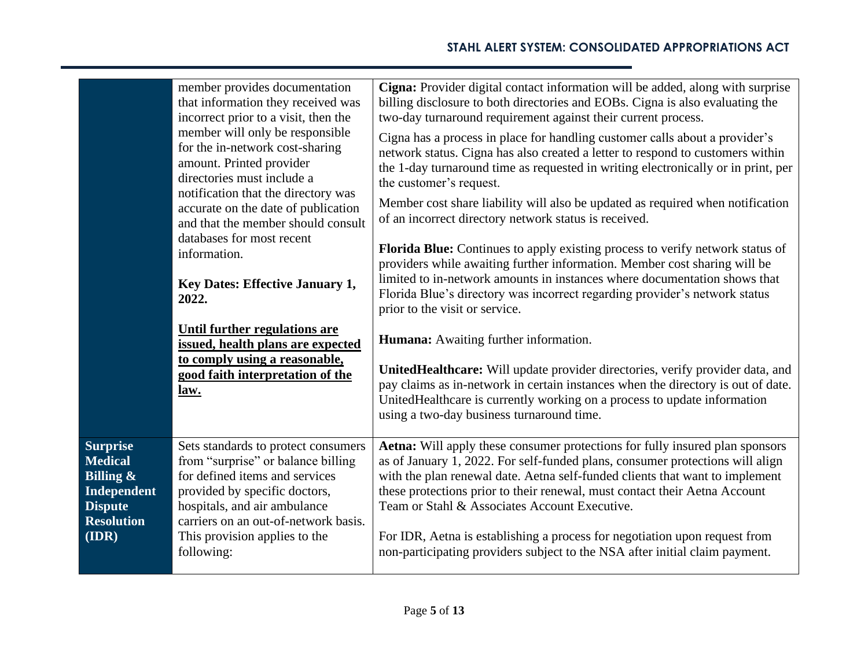|                                                                                                                          | member provides documentation<br>that information they received was<br>incorrect prior to a visit, then the<br>member will only be responsible<br>for the in-network cost-sharing<br>amount. Printed provider<br>directories must include a<br>notification that the directory was<br>accurate on the date of publication<br>and that the member should consult<br>databases for most recent<br>information.<br><b>Key Dates: Effective January 1,</b><br>2022. | Cigna: Provider digital contact information will be added, along with surprise<br>billing disclosure to both directories and EOBs. Cigna is also evaluating the<br>two-day turnaround requirement against their current process.<br>Cigna has a process in place for handling customer calls about a provider's<br>network status. Cigna has also created a letter to respond to customers within<br>the 1-day turnaround time as requested in writing electronically or in print, per<br>the customer's request.<br>Member cost share liability will also be updated as required when notification<br>of an incorrect directory network status is received.<br>Florida Blue: Continues to apply existing process to verify network status of<br>providers while awaiting further information. Member cost sharing will be<br>limited to in-network amounts in instances where documentation shows that<br>Florida Blue's directory was incorrect regarding provider's network status<br>prior to the visit or service. |
|--------------------------------------------------------------------------------------------------------------------------|-----------------------------------------------------------------------------------------------------------------------------------------------------------------------------------------------------------------------------------------------------------------------------------------------------------------------------------------------------------------------------------------------------------------------------------------------------------------|-------------------------------------------------------------------------------------------------------------------------------------------------------------------------------------------------------------------------------------------------------------------------------------------------------------------------------------------------------------------------------------------------------------------------------------------------------------------------------------------------------------------------------------------------------------------------------------------------------------------------------------------------------------------------------------------------------------------------------------------------------------------------------------------------------------------------------------------------------------------------------------------------------------------------------------------------------------------------------------------------------------------------|
|                                                                                                                          | <b>Until further regulations are</b><br>issued, health plans are expected<br>to comply using a reasonable,<br>good faith interpretation of the<br><u>law.</u>                                                                                                                                                                                                                                                                                                   | <b>Humana:</b> Awaiting further information.<br>UnitedHealthcare: Will update provider directories, verify provider data, and<br>pay claims as in-network in certain instances when the directory is out of date.<br>UnitedHealthcare is currently working on a process to update information<br>using a two-day business turnaround time.                                                                                                                                                                                                                                                                                                                                                                                                                                                                                                                                                                                                                                                                              |
| <b>Surprise</b><br><b>Medical</b><br><b>Billing &amp;</b><br>Independent<br><b>Dispute</b><br><b>Resolution</b><br>(IDR) | Sets standards to protect consumers<br>from "surprise" or balance billing<br>for defined items and services<br>provided by specific doctors,<br>hospitals, and air ambulance<br>carriers on an out-of-network basis.<br>This provision applies to the<br>following:                                                                                                                                                                                             | Aetna: Will apply these consumer protections for fully insured plan sponsors<br>as of January 1, 2022. For self-funded plans, consumer protections will align<br>with the plan renewal date. Aetna self-funded clients that want to implement<br>these protections prior to their renewal, must contact their Aetna Account<br>Team or Stahl & Associates Account Executive.<br>For IDR, Aetna is establishing a process for negotiation upon request from<br>non-participating providers subject to the NSA after initial claim payment.                                                                                                                                                                                                                                                                                                                                                                                                                                                                               |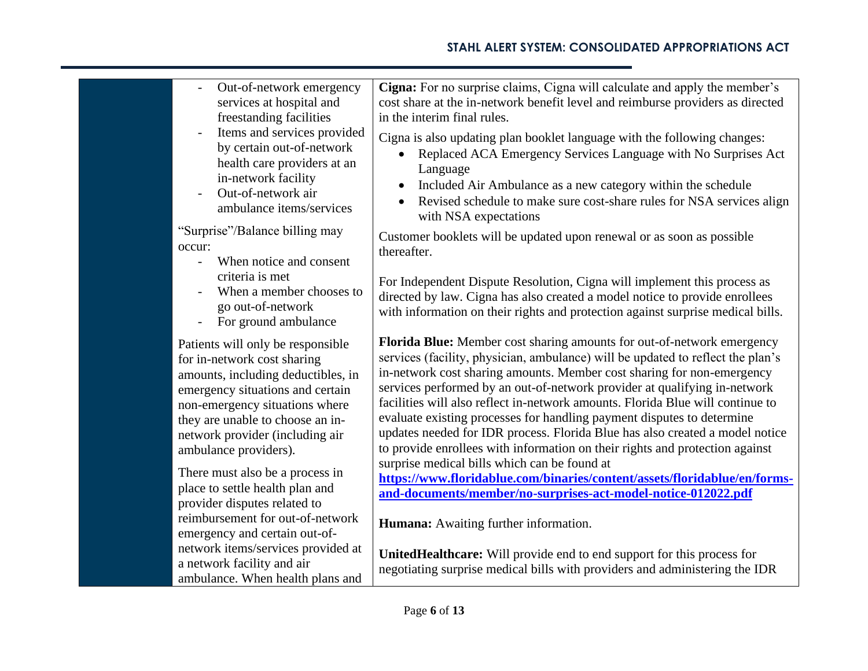| Out-of-network emergency<br>services at hospital and                                                                                                                                                                                                                                                            | Cigna: For no surprise claims, Cigna will calculate and apply the member's<br>cost share at the in-network benefit level and reimburse providers as directed                                                                                                                                                                                                                                                                                                                                                                                                                                                                                                                                                                                                              |
|-----------------------------------------------------------------------------------------------------------------------------------------------------------------------------------------------------------------------------------------------------------------------------------------------------------------|---------------------------------------------------------------------------------------------------------------------------------------------------------------------------------------------------------------------------------------------------------------------------------------------------------------------------------------------------------------------------------------------------------------------------------------------------------------------------------------------------------------------------------------------------------------------------------------------------------------------------------------------------------------------------------------------------------------------------------------------------------------------------|
| freestanding facilities                                                                                                                                                                                                                                                                                         | in the interim final rules.                                                                                                                                                                                                                                                                                                                                                                                                                                                                                                                                                                                                                                                                                                                                               |
| Items and services provided<br>$\overline{\phantom{m}}$<br>by certain out-of-network<br>health care providers at an<br>in-network facility<br>Out-of-network air<br>ambulance items/services                                                                                                                    | Cigna is also updating plan booklet language with the following changes:<br>Replaced ACA Emergency Services Language with No Surprises Act<br>Language<br>Included Air Ambulance as a new category within the schedule<br>$\bullet$<br>Revised schedule to make sure cost-share rules for NSA services align<br>$\bullet$<br>with NSA expectations                                                                                                                                                                                                                                                                                                                                                                                                                        |
| "Surprise"/Balance billing may<br>occur:<br>When notice and consent<br>$\overline{\phantom{0}}$                                                                                                                                                                                                                 | Customer booklets will be updated upon renewal or as soon as possible<br>thereafter.                                                                                                                                                                                                                                                                                                                                                                                                                                                                                                                                                                                                                                                                                      |
| criteria is met<br>When a member chooses to<br>go out-of-network<br>For ground ambulance<br>$\overline{\phantom{a}}$                                                                                                                                                                                            | For Independent Dispute Resolution, Cigna will implement this process as<br>directed by law. Cigna has also created a model notice to provide enrollees<br>with information on their rights and protection against surprise medical bills.                                                                                                                                                                                                                                                                                                                                                                                                                                                                                                                                |
| Patients will only be responsible<br>for in-network cost sharing<br>amounts, including deductibles, in<br>emergency situations and certain<br>non-emergency situations where<br>they are unable to choose an in-<br>network provider (including air<br>ambulance providers).<br>There must also be a process in | Florida Blue: Member cost sharing amounts for out-of-network emergency<br>services (facility, physician, ambulance) will be updated to reflect the plan's<br>in-network cost sharing amounts. Member cost sharing for non-emergency<br>services performed by an out-of-network provider at qualifying in-network<br>facilities will also reflect in-network amounts. Florida Blue will continue to<br>evaluate existing processes for handling payment disputes to determine<br>updates needed for IDR process. Florida Blue has also created a model notice<br>to provide enrollees with information on their rights and protection against<br>surprise medical bills which can be found at<br>https://www.floridablue.com/binaries/content/assets/floridablue/en/forms- |
| place to settle health plan and<br>provider disputes related to                                                                                                                                                                                                                                                 | and-documents/member/no-surprises-act-model-notice-012022.pdf                                                                                                                                                                                                                                                                                                                                                                                                                                                                                                                                                                                                                                                                                                             |
| reimbursement for out-of-network<br>emergency and certain out-of-                                                                                                                                                                                                                                               | Humana: Awaiting further information.                                                                                                                                                                                                                                                                                                                                                                                                                                                                                                                                                                                                                                                                                                                                     |
| network items/services provided at<br>a network facility and air<br>ambulance. When health plans and                                                                                                                                                                                                            | UnitedHealthcare: Will provide end to end support for this process for<br>negotiating surprise medical bills with providers and administering the IDR                                                                                                                                                                                                                                                                                                                                                                                                                                                                                                                                                                                                                     |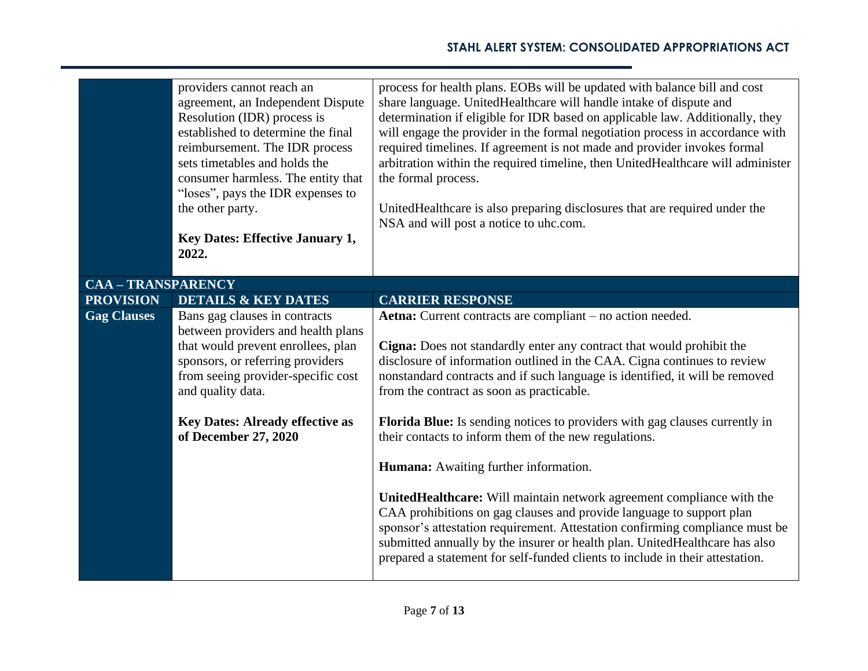|                           | providers cannot reach an<br>agreement, an Independent Dispute<br>Resolution (IDR) process is<br>established to determine the final<br>reimbursement. The IDR process<br>sets timetables and holds the<br>consumer harmless. The entity that | process for health plans. EOBs will be updated with balance bill and cost<br>share language. UnitedHealthcare will handle intake of dispute and<br>determination if eligible for IDR based on applicable law. Additionally, they<br>will engage the provider in the formal negotiation process in accordance with<br>required timelines. If agreement is not made and provider invokes formal<br>arbitration within the required timeline, then UnitedHealthcare will administer<br>the formal process. |
|---------------------------|----------------------------------------------------------------------------------------------------------------------------------------------------------------------------------------------------------------------------------------------|---------------------------------------------------------------------------------------------------------------------------------------------------------------------------------------------------------------------------------------------------------------------------------------------------------------------------------------------------------------------------------------------------------------------------------------------------------------------------------------------------------|
|                           | "loses", pays the IDR expenses to<br>the other party.                                                                                                                                                                                        | UnitedHealthcare is also preparing disclosures that are required under the<br>NSA and will post a notice to uhc.com.                                                                                                                                                                                                                                                                                                                                                                                    |
|                           | <b>Key Dates: Effective January 1,</b><br>2022.                                                                                                                                                                                              |                                                                                                                                                                                                                                                                                                                                                                                                                                                                                                         |
| <b>CAA - TRANSPARENCY</b> |                                                                                                                                                                                                                                              |                                                                                                                                                                                                                                                                                                                                                                                                                                                                                                         |
| <b>PROVISION</b>          | <b>DETAILS &amp; KEY DATES</b>                                                                                                                                                                                                               | <b>CARRIER RESPONSE</b>                                                                                                                                                                                                                                                                                                                                                                                                                                                                                 |
| <b>Gag Clauses</b>        | Bans gag clauses in contracts<br>between providers and health plans<br>that would prevent enrollees, plan<br>sponsors, or referring providers<br>from seeing provider-specific cost<br>and quality data.                                     | Aetna: Current contracts are compliant – no action needed.<br>Cigna: Does not standardly enter any contract that would prohibit the<br>disclosure of information outlined in the CAA. Cigna continues to review<br>nonstandard contracts and if such language is identified, it will be removed<br>from the contract as soon as practicable.                                                                                                                                                            |
|                           | <b>Key Dates: Already effective as</b><br>of December 27, 2020                                                                                                                                                                               | Florida Blue: Is sending notices to providers with gag clauses currently in<br>their contacts to inform them of the new regulations.                                                                                                                                                                                                                                                                                                                                                                    |
|                           |                                                                                                                                                                                                                                              | <b>Humana:</b> Awaiting further information.                                                                                                                                                                                                                                                                                                                                                                                                                                                            |
|                           |                                                                                                                                                                                                                                              | UnitedHealthcare: Will maintain network agreement compliance with the<br>CAA prohibitions on gag clauses and provide language to support plan<br>sponsor's attestation requirement. Attestation confirming compliance must be<br>submitted annually by the insurer or health plan. United Healthcare has also<br>prepared a statement for self-funded clients to include in their attestation.                                                                                                          |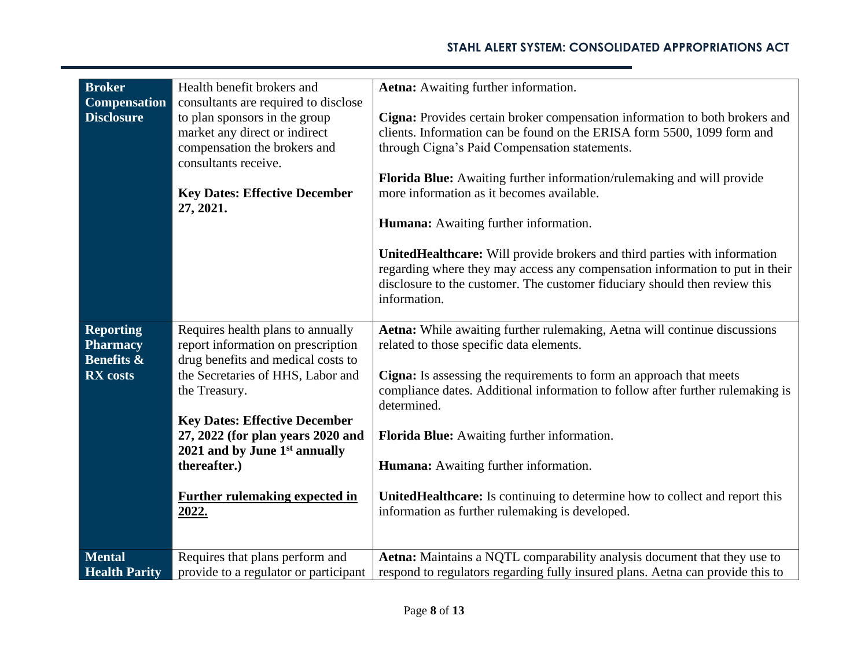| <b>Broker</b>                                                | Health benefit brokers and                                                                                                                                                                                          | Aetna: Awaiting further information.                                                                                                                                                                                                                                                                                                                                           |
|--------------------------------------------------------------|---------------------------------------------------------------------------------------------------------------------------------------------------------------------------------------------------------------------|--------------------------------------------------------------------------------------------------------------------------------------------------------------------------------------------------------------------------------------------------------------------------------------------------------------------------------------------------------------------------------|
| <b>Compensation</b><br><b>Disclosure</b>                     | consultants are required to disclose<br>to plan sponsors in the group<br>market any direct or indirect<br>compensation the brokers and<br>consultants receive.<br><b>Key Dates: Effective December</b><br>27, 2021. | Cigna: Provides certain broker compensation information to both brokers and<br>clients. Information can be found on the ERISA form 5500, 1099 form and<br>through Cigna's Paid Compensation statements.<br>Florida Blue: Awaiting further information/rulemaking and will provide<br>more information as it becomes available.<br><b>Humana:</b> Awaiting further information. |
|                                                              |                                                                                                                                                                                                                     | UnitedHealthcare: Will provide brokers and third parties with information<br>regarding where they may access any compensation information to put in their<br>disclosure to the customer. The customer fiduciary should then review this<br>information.                                                                                                                        |
| <b>Reporting</b><br><b>Pharmacy</b><br><b>Benefits &amp;</b> | Requires health plans to annually<br>report information on prescription<br>drug benefits and medical costs to                                                                                                       | Aetna: While awaiting further rulemaking, Aetna will continue discussions<br>related to those specific data elements.                                                                                                                                                                                                                                                          |
| <b>RX</b> costs                                              | the Secretaries of HHS, Labor and<br>the Treasury.                                                                                                                                                                  | Cigna: Is assessing the requirements to form an approach that meets<br>compliance dates. Additional information to follow after further rulemaking is<br>determined.                                                                                                                                                                                                           |
|                                                              | <b>Key Dates: Effective December</b><br>27, 2022 (for plan years 2020 and<br>2021 and by June $1st$ annually<br>thereafter.)                                                                                        | Florida Blue: Awaiting further information.<br>Humana: Awaiting further information.                                                                                                                                                                                                                                                                                           |
|                                                              | <b>Further rulemaking expected in</b><br><u>2022.</u>                                                                                                                                                               | UnitedHealthcare: Is continuing to determine how to collect and report this<br>information as further rulemaking is developed.                                                                                                                                                                                                                                                 |
| <b>Mental</b><br><b>Health Parity</b>                        | Requires that plans perform and<br>provide to a regulator or participant                                                                                                                                            | Aetna: Maintains a NQTL comparability analysis document that they use to<br>respond to regulators regarding fully insured plans. Aetna can provide this to                                                                                                                                                                                                                     |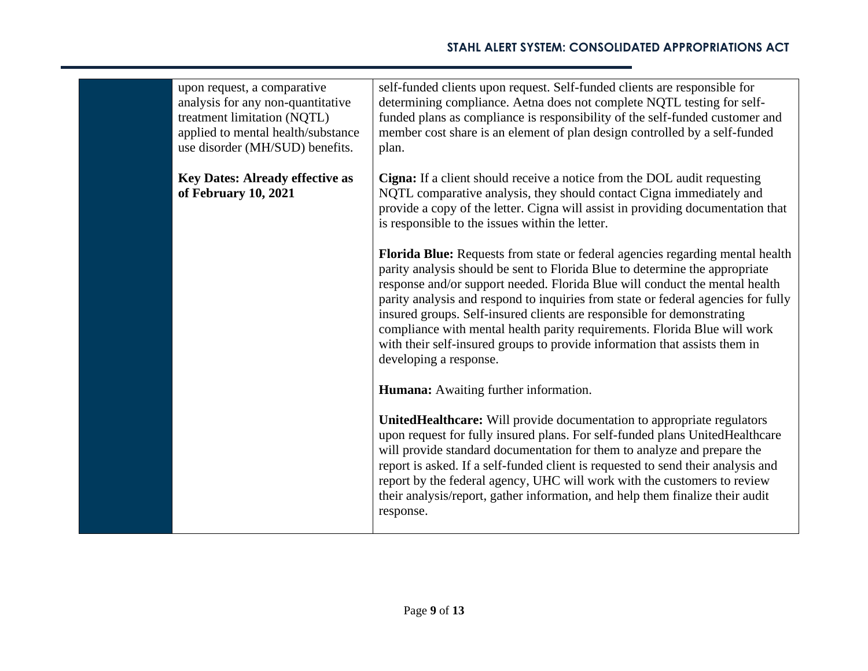| upon request, a comparative<br>analysis for any non-quantitative<br>treatment limitation (NQTL)<br>applied to mental health/substance<br>use disorder (MH/SUD) benefits. | self-funded clients upon request. Self-funded clients are responsible for<br>determining compliance. Aetna does not complete NQTL testing for self-<br>funded plans as compliance is responsibility of the self-funded customer and<br>member cost share is an element of plan design controlled by a self-funded<br>plan.                                                                                                                                                                                                                                                                      |
|--------------------------------------------------------------------------------------------------------------------------------------------------------------------------|-------------------------------------------------------------------------------------------------------------------------------------------------------------------------------------------------------------------------------------------------------------------------------------------------------------------------------------------------------------------------------------------------------------------------------------------------------------------------------------------------------------------------------------------------------------------------------------------------|
| <b>Key Dates: Already effective as</b><br>of February 10, 2021                                                                                                           | Cigna: If a client should receive a notice from the DOL audit requesting<br>NQTL comparative analysis, they should contact Cigna immediately and<br>provide a copy of the letter. Cigna will assist in providing documentation that<br>is responsible to the issues within the letter.                                                                                                                                                                                                                                                                                                          |
|                                                                                                                                                                          | Florida Blue: Requests from state or federal agencies regarding mental health<br>parity analysis should be sent to Florida Blue to determine the appropriate<br>response and/or support needed. Florida Blue will conduct the mental health<br>parity analysis and respond to inquiries from state or federal agencies for fully<br>insured groups. Self-insured clients are responsible for demonstrating<br>compliance with mental health parity requirements. Florida Blue will work<br>with their self-insured groups to provide information that assists them in<br>developing a response. |
|                                                                                                                                                                          | <b>Humana:</b> Awaiting further information.                                                                                                                                                                                                                                                                                                                                                                                                                                                                                                                                                    |
|                                                                                                                                                                          | UnitedHealthcare: Will provide documentation to appropriate regulators<br>upon request for fully insured plans. For self-funded plans UnitedHealthcare<br>will provide standard documentation for them to analyze and prepare the<br>report is asked. If a self-funded client is requested to send their analysis and<br>report by the federal agency, UHC will work with the customers to review<br>their analysis/report, gather information, and help them finalize their audit<br>response.                                                                                                 |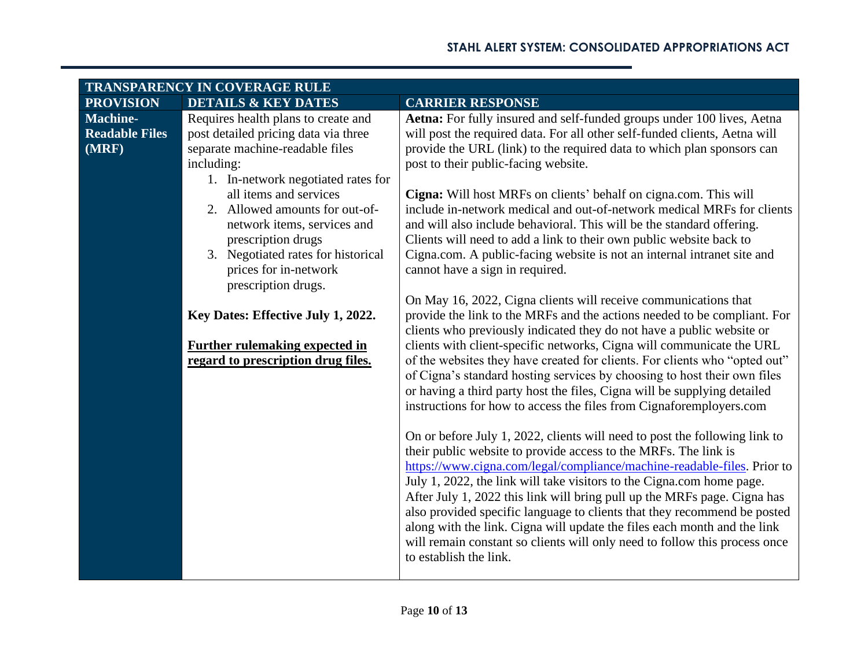| TRANSPARENCY IN COVERAGE RULE |                                       |                                                                                                                                               |
|-------------------------------|---------------------------------------|-----------------------------------------------------------------------------------------------------------------------------------------------|
| <b>PROVISION</b>              | <b>DETAILS &amp; KEY DATES</b>        | <b>CARRIER RESPONSE</b>                                                                                                                       |
| <b>Machine-</b>               | Requires health plans to create and   | Aetna: For fully insured and self-funded groups under 100 lives, Aetna                                                                        |
| <b>Readable Files</b>         | post detailed pricing data via three  | will post the required data. For all other self-funded clients, Aetna will                                                                    |
| (MRF)                         | separate machine-readable files       | provide the URL (link) to the required data to which plan sponsors can                                                                        |
|                               | including:                            | post to their public-facing website.                                                                                                          |
|                               | 1. In-network negotiated rates for    |                                                                                                                                               |
|                               | all items and services                | Cigna: Will host MRFs on clients' behalf on cigna.com. This will                                                                              |
|                               | 2. Allowed amounts for out-of-        | include in-network medical and out-of-network medical MRFs for clients                                                                        |
|                               | network items, services and           | and will also include behavioral. This will be the standard offering.                                                                         |
|                               | prescription drugs                    | Clients will need to add a link to their own public website back to                                                                           |
|                               | 3. Negotiated rates for historical    | Cigna.com. A public-facing website is not an internal intranet site and                                                                       |
|                               | prices for in-network                 | cannot have a sign in required.                                                                                                               |
|                               | prescription drugs.                   |                                                                                                                                               |
|                               |                                       | On May 16, 2022, Cigna clients will receive communications that                                                                               |
|                               | Key Dates: Effective July 1, 2022.    | provide the link to the MRFs and the actions needed to be compliant. For                                                                      |
|                               |                                       | clients who previously indicated they do not have a public website or                                                                         |
|                               | <b>Further rulemaking expected in</b> | clients with client-specific networks, Cigna will communicate the URL                                                                         |
|                               | regard to prescription drug files.    | of the websites they have created for clients. For clients who "opted out"                                                                    |
|                               |                                       | of Cigna's standard hosting services by choosing to host their own files                                                                      |
|                               |                                       | or having a third party host the files, Cigna will be supplying detailed                                                                      |
|                               |                                       | instructions for how to access the files from Cignaforemployers.com                                                                           |
|                               |                                       |                                                                                                                                               |
|                               |                                       | On or before July 1, 2022, clients will need to post the following link to<br>their public website to provide access to the MRFs. The link is |
|                               |                                       | https://www.cigna.com/legal/compliance/machine-readable-files. Prior to                                                                       |
|                               |                                       | July 1, 2022, the link will take visitors to the Cigna.com home page.                                                                         |
|                               |                                       | After July 1, 2022 this link will bring pull up the MRFs page. Cigna has                                                                      |
|                               |                                       | also provided specific language to clients that they recommend be posted                                                                      |
|                               |                                       | along with the link. Cigna will update the files each month and the link                                                                      |
|                               |                                       | will remain constant so clients will only need to follow this process once                                                                    |
|                               |                                       | to establish the link.                                                                                                                        |
|                               |                                       |                                                                                                                                               |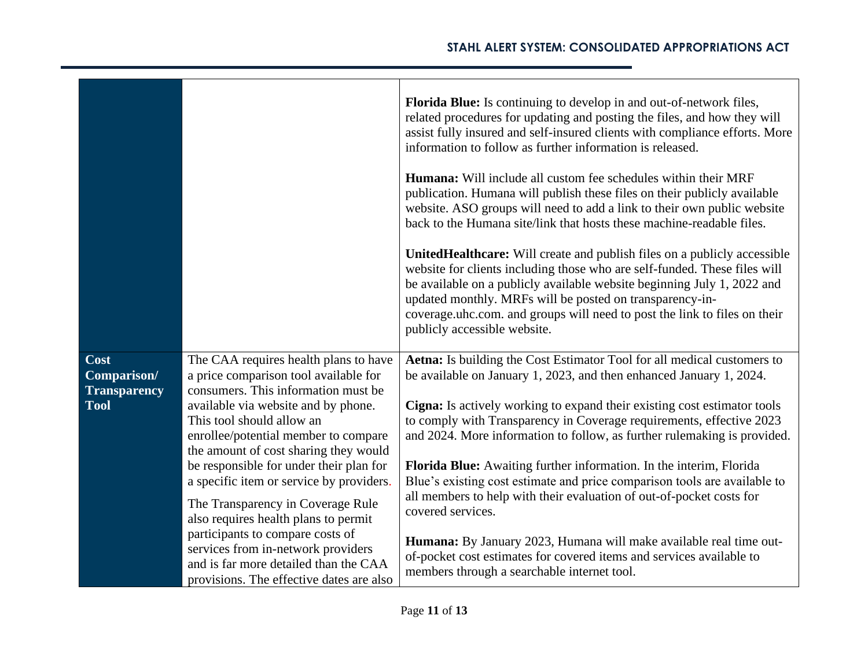|                                                           |                                                                                                                                                                                                                                                                                                                                                                                                                                                                                                                                                                                                               | <b>Florida Blue:</b> Is continuing to develop in and out-of-network files,<br>related procedures for updating and posting the files, and how they will<br>assist fully insured and self-insured clients with compliance efforts. More<br>information to follow as further information is released.<br><b>Humana:</b> Will include all custom fee schedules within their MRF<br>publication. Humana will publish these files on their publicly available<br>website. ASO groups will need to add a link to their own public website<br>back to the Humana site/link that hosts these machine-readable files.<br><b>UnitedHealthcare:</b> Will create and publish files on a publicly accessible<br>website for clients including those who are self-funded. These files will<br>be available on a publicly available website beginning July 1, 2022 and<br>updated monthly. MRFs will be posted on transparency-in-<br>coverage uhc.com. and groups will need to post the link to files on their<br>publicly accessible website. |
|-----------------------------------------------------------|---------------------------------------------------------------------------------------------------------------------------------------------------------------------------------------------------------------------------------------------------------------------------------------------------------------------------------------------------------------------------------------------------------------------------------------------------------------------------------------------------------------------------------------------------------------------------------------------------------------|---------------------------------------------------------------------------------------------------------------------------------------------------------------------------------------------------------------------------------------------------------------------------------------------------------------------------------------------------------------------------------------------------------------------------------------------------------------------------------------------------------------------------------------------------------------------------------------------------------------------------------------------------------------------------------------------------------------------------------------------------------------------------------------------------------------------------------------------------------------------------------------------------------------------------------------------------------------------------------------------------------------------------------|
| Cost<br>Comparison/<br><b>Transparency</b><br><b>Tool</b> | The CAA requires health plans to have<br>a price comparison tool available for<br>consumers. This information must be<br>available via website and by phone.<br>This tool should allow an<br>enrollee/potential member to compare<br>the amount of cost sharing they would<br>be responsible for under their plan for<br>a specific item or service by providers.<br>The Transparency in Coverage Rule<br>also requires health plans to permit<br>participants to compare costs of<br>services from in-network providers<br>and is far more detailed than the CAA<br>provisions. The effective dates are also | Aetna: Is building the Cost Estimator Tool for all medical customers to<br>be available on January 1, 2023, and then enhanced January 1, 2024.<br>Cigna: Is actively working to expand their existing cost estimator tools<br>to comply with Transparency in Coverage requirements, effective 2023<br>and 2024. More information to follow, as further rulemaking is provided.<br>Florida Blue: Awaiting further information. In the interim, Florida<br>Blue's existing cost estimate and price comparison tools are available to<br>all members to help with their evaluation of out-of-pocket costs for<br>covered services.<br>Humana: By January 2023, Humana will make available real time out-<br>of-pocket cost estimates for covered items and services available to<br>members through a searchable internet tool.                                                                                                                                                                                                    |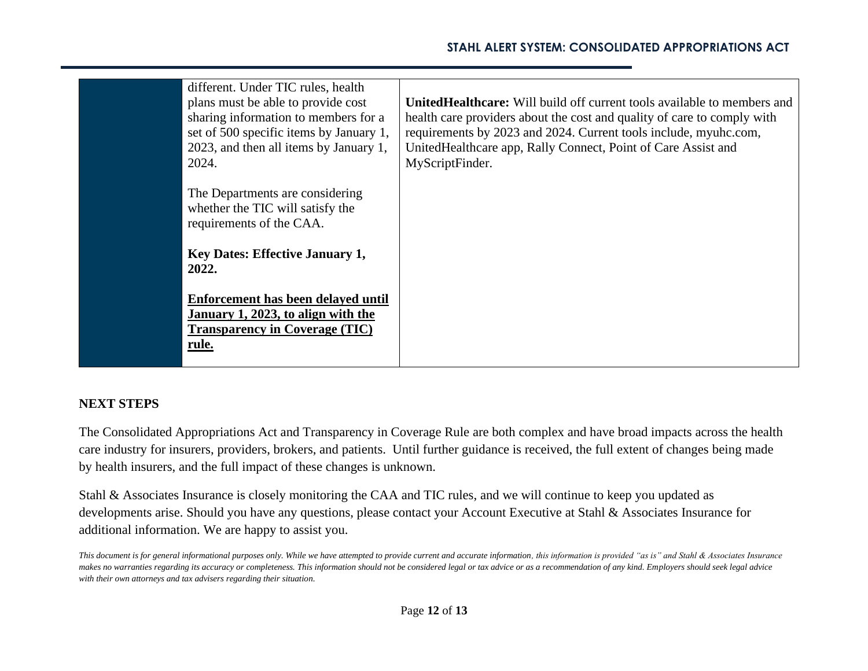|  | different. Under TIC rules, health<br>plans must be able to provide cost<br>sharing information to members for a<br>set of 500 specific items by January 1,<br>2023, and then all items by January 1,<br>2024. | <b>UnitedHealthcare:</b> Will build off current tools available to members and<br>health care providers about the cost and quality of care to comply with<br>requirements by 2023 and 2024. Current tools include, myuhc.com,<br>UnitedHealthcare app, Rally Connect, Point of Care Assist and<br>MyScriptFinder. |
|--|----------------------------------------------------------------------------------------------------------------------------------------------------------------------------------------------------------------|-------------------------------------------------------------------------------------------------------------------------------------------------------------------------------------------------------------------------------------------------------------------------------------------------------------------|
|  | The Departments are considering<br>whether the TIC will satisfy the<br>requirements of the CAA.                                                                                                                |                                                                                                                                                                                                                                                                                                                   |
|  | <b>Key Dates: Effective January 1,</b><br>2022.                                                                                                                                                                |                                                                                                                                                                                                                                                                                                                   |
|  | Enforcement has been delayed until<br>January 1, 2023, to align with the<br><b>Transparency in Coverage (TIC)</b><br>rule.                                                                                     |                                                                                                                                                                                                                                                                                                                   |

## **NEXT STEPS**

The Consolidated Appropriations Act and Transparency in Coverage Rule are both complex and have broad impacts across the health care industry for insurers, providers, brokers, and patients. Until further guidance is received, the full extent of changes being made by health insurers, and the full impact of these changes is unknown.

Stahl & Associates Insurance is closely monitoring the CAA and TIC rules, and we will continue to keep you updated as developments arise. Should you have any questions, please contact your Account Executive at Stahl & Associates Insurance for additional information. We are happy to assist you.

*This document is for general informational purposes only. While we have attempted to provide current and accurate information, this information is provided "as is" and Stahl & Associates Insurance makes no warranties regarding its accuracy or completeness. This information should not be considered legal or tax advice or as a recommendation of any kind. Employers should seek legal advice with their own attorneys and tax advisers regarding their situation.*